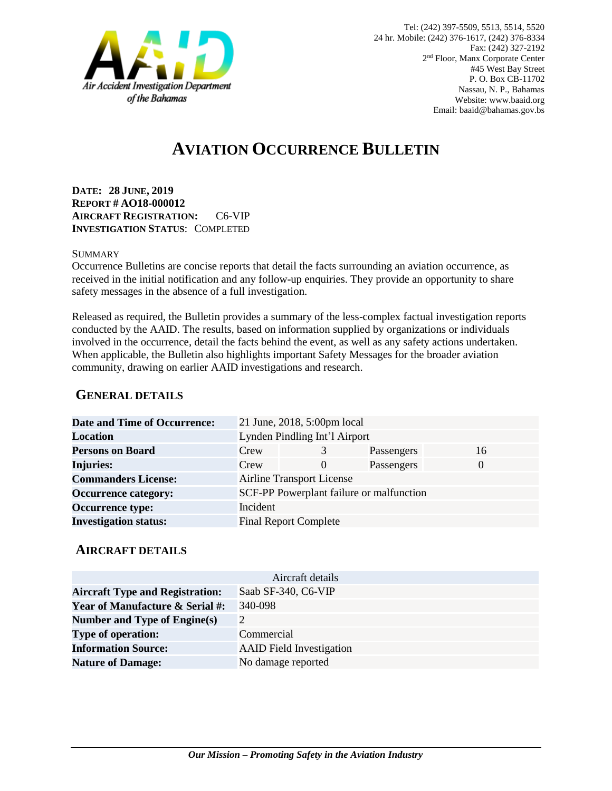

# **AVIATION OCCURRENCE BULLETIN**

**DATE: 28 JUNE, 2019 REPORT # AO18-000012 AIRCRAFT REGISTRATION:** C6-VIP **INVESTIGATION STATUS**: COMPLETED

#### **SUMMARY**

Occurrence Bulletins are concise reports that detail the facts surrounding an aviation occurrence, as received in the initial notification and any follow-up enquiries. They provide an opportunity to share safety messages in the absence of a full investigation*.*

Released as required, the Bulletin provides a summary of the less-complex factual investigation reports conducted by the AAID. The results, based on information supplied by organizations or individuals involved in the occurrence, detail the facts behind the event, as well as any safety actions undertaken. When applicable, the Bulletin also highlights important Safety Messages for the broader aviation community, drawing on earlier AAID investigations and research.

### **GENERAL DETAILS**

| <b>Date and Time of Occurrence:</b> |                               | 21 June, 2018, 5:00pm local              |            |          |
|-------------------------------------|-------------------------------|------------------------------------------|------------|----------|
| <b>Location</b>                     | Lynden Pindling Int'l Airport |                                          |            |          |
| <b>Persons on Board</b>             | Crew                          | 3                                        | Passengers | 16       |
| <b>Injuries:</b>                    | Crew                          | $\Omega$                                 | Passengers | $\Omega$ |
| <b>Commanders License:</b>          |                               | <b>Airline Transport License</b>         |            |          |
| <b>Occurrence category:</b>         |                               | SCF-PP Powerplant failure or malfunction |            |          |
| <b>Occurrence type:</b>             | Incident                      |                                          |            |          |
| <b>Investigation status:</b>        |                               | <b>Final Report Complete</b>             |            |          |

#### **AIRCRAFT DETAILS**

| Aircraft details                           |                                 |  |  |  |
|--------------------------------------------|---------------------------------|--|--|--|
| <b>Aircraft Type and Registration:</b>     | Saab SF-340, C6-VIP             |  |  |  |
| <b>Year of Manufacture &amp; Serial #:</b> | 340-098                         |  |  |  |
| Number and Type of Engine(s)               | 2                               |  |  |  |
| <b>Type of operation:</b>                  | Commercial                      |  |  |  |
| <b>Information Source:</b>                 | <b>AAID</b> Field Investigation |  |  |  |
| <b>Nature of Damage:</b>                   | No damage reported              |  |  |  |